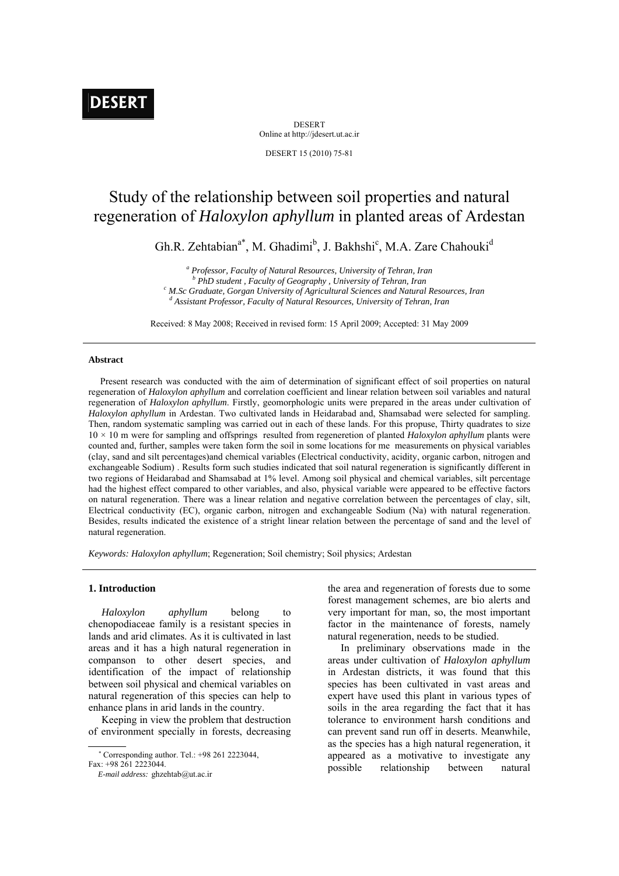# **DESERT**

DESERT Online at http://jdesert.ut.ac.ir

DESERT 15 (2010) 75-81

## Study of the relationship between soil properties and natural regeneration of *Haloxylon aphyllum* in planted areas of Ardestan

Gh.R. Zehtabian<sup>a\*</sup>, M. Ghadimi<sup>b</sup>, J. Bakhshi<sup>c</sup>, M.A. Zare Chahouki<sup>d</sup>

<sup>*a*</sup> Professor, Faculty of Natural Resources, University of Tehran, Iran *b*<sub>*BbD*</sub> etudent. Equality of Caparamby, University of Tehran, Iran <sup>*b</sup> PhD student , Faculty of Geography , University of Tehran, Iran <sup>c</sup> M So Craduate Consent University of Agricultural Sciences and Natural</sup> M.Sc Graduate, Gorgan University of Agricultural Sciences and Natural Resources, Iran* d<br>dependent Professor, Egypty of Natural Bessuress, University of Tahran, Iran  *Assistant Professor, Faculty of Natural Resources, University of Tehran, Iran* 

Received: 8 May 2008; Received in revised form: 15 April 2009; Accepted: 31 May 2009

## **Abstract**

 Present research was conducted with the aim of determination of significant effect of soil properties on natural regeneration of *Haloxylon aphyllum* and correlation coefficient and linear relation between soil variables and natural regeneration of *Haloxylon aphyllum*. Firstly, geomorphologic units were prepared in the areas under cultivation of *Haloxylon aphyllum* in Ardestan. Two cultivated lands in Heidarabad and, Shamsabad were selected for sampling. Then, random systematic sampling was carried out in each of these lands. For this propuse, Thirty quadrates to size 10 × 10 m were for sampling and offsprings resulted from regeneretion of planted *Haloxylon aphyllum* plants were counted and, further, samples were taken form the soil in some locations for me measurements on physical variables (clay, sand and silt percentages)and chemical variables (Electrical conductivity, acidity, organic carbon, nitrogen and exchangeable Sodium) . Results form such studies indicated that soil natural regeneration is significantly different in two regions of Heidarabad and Shamsabad at 1% level. Among soil physical and chemical variables, silt percentage had the highest effect compared to other variables, and also, physical variable were appeared to be effective factors on natural regeneration. There was a linear relation and negative correlation between the percentages of clay, silt, Electrical conductivity (EC), organic carbon, nitrogen and exchangeable Sodium (Na) with natural regeneration. Besides, results indicated the existence of a stright linear relation between the percentage of sand and the level of natural regeneration.

*Keywords: Haloxylon aphyllum*; Regeneration; Soil chemistry; Soil physics; Ardestan

## **1. Introduction**

 *Haloxylon aphyllum* belong to chenopodiaceae family is a resistant species in lands and arid climates. As it is cultivated in last areas and it has a high natural regeneration in companson to other desert species, and identification of the impact of relationship between soil physical and chemical variables on natural regeneration of this species can help to enhance plans in arid lands in the country.

 Keeping in view the problem that destruction of environment specially in forests, decreasing

Corresponding author. Tel.: +98 261 2223044,

the area and regeneration of forests due to some forest management schemes, are bio alerts and very important for man, so, the most important factor in the maintenance of forests, namely natural regeneration, needs to be studied.

 In preliminary observations made in the areas under cultivation of *Haloxylon aphyllum*  in Ardestan districts, it was found that this species has been cultivated in vast areas and expert have used this plant in various types of soils in the area regarding the fact that it has tolerance to environment harsh conditions and can prevent sand run off in deserts. Meanwhile, as the species has a high natural regeneration, it appeared as a motivative to investigate any possible relationship between natural

Fax: +98 261 2223044.

*E-mail address:* ghzehtab@ut.ac.ir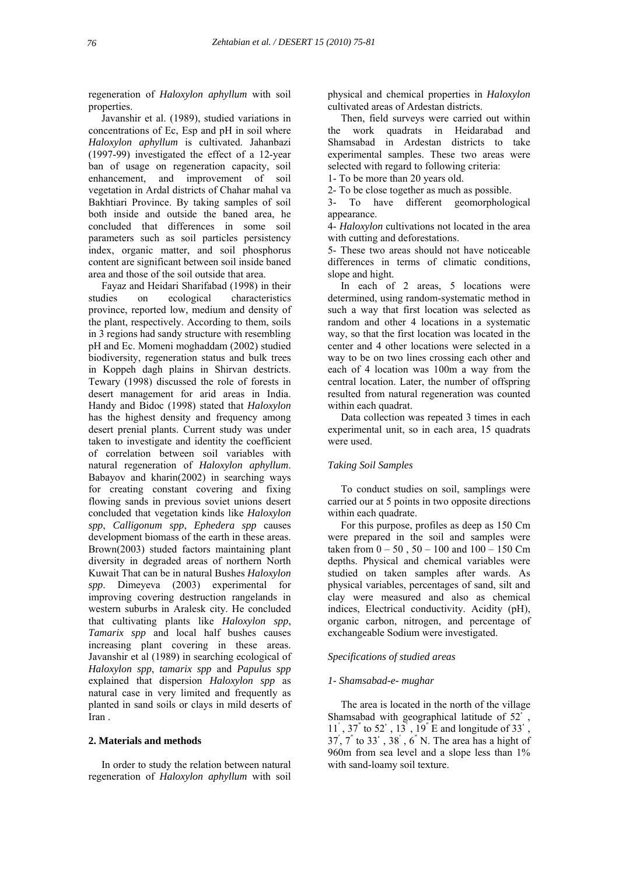regeneration of *Haloxylon aphyllum* with soil properties.

 Javanshir et al. (1989), studied variations in concentrations of Ec, Esp and pH in soil where *Haloxylon aphyllum* is cultivated. Jahanbazi (1997-99) investigated the effect of a 12-year ban of usage on regeneration capacity, soil enhancement, and improvement of soil vegetation in Ardal districts of Chahar mahal va Bakhtiari Province. By taking samples of soil both inside and outside the baned area, he concluded that differences in some soil parameters such as soil particles persistency index, organic matter, and soil phosphorus content are significant between soil inside baned area and those of the soil outside that area.

 Fayaz and Heidari Sharifabad (1998) in their studies on ecological characteristics province, reported low, medium and density of the plant, respectively. According to them, soils in 3 regions had sandy structure with resembling pH and Ec. Momeni moghaddam (2002) studied biodiversity, regeneration status and bulk trees in Koppeh dagh plains in Shirvan destricts. Tewary (1998) discussed the role of forests in desert management for arid areas in India. Handy and Bidoc (1998) stated that *Haloxylon* has the highest density and frequency among desert prenial plants. Current study was under taken to investigate and identity the coefficient of correlation between soil variables with natural regeneration of *Haloxylon aphyllum*. Babayov and kharin(2002) in searching ways for creating constant covering and fixing flowing sands in previous soviet unions desert concluded that vegetation kinds like *Haloxylon spp*, *Calligonum spp*, *Ephedera spp* causes development biomass of the earth in these areas. Brown(2003) studed factors maintaining plant diversity in degraded areas of northern North Kuwait That can be in natural Bushes *Haloxylon spp*. Dimeyeva (2003) experimental for improving covering destruction rangelands in western suburbs in Aralesk city. He concluded that cultivating plants like *Haloxylon spp*, *Tamarix spp* and local half bushes causes increasing plant covering in these areas. Javanshir et al (1989) in searching ecological of *Haloxylon spp*, *tamarix spp* and *Papulus spp* explained that dispersion *Haloxylon spp* as natural case in very limited and frequently as planted in sand soils or clays in mild deserts of Iran .

#### **2. Materials and methods**

 In order to study the relation between natural regeneration of *Haloxylon aphyllum* with soil physical and chemical properties in *Haloxylon* cultivated areas of Ardestan districts.

 Then, field surveys were carried out within the work quadrats in Heidarabad and Shamsabad in Ardestan districts to take experimental samples. These two areas were selected with regard to following criteria:

1- To be more than 20 years old.

2- To be close together as much as possible.

3- To have different geomorphological appearance.

4- *Haloxylon* cultivations not located in the area with cutting and deforestations.

5- These two areas should not have noticeable differences in terms of climatic conditions, slope and hight.

 In each of 2 areas, 5 locations were determined, using random-systematic method in such a way that first location was selected as random and other 4 locations in a systematic way, so that the first location was located in the center and 4 other locations were selected in a way to be on two lines crossing each other and each of 4 location was 100m a way from the central location. Later, the number of offspring resulted from natural regeneration was counted within each quadrat.

 Data collection was repeated 3 times in each experimental unit, so in each area, 15 quadrats were used.

#### *Taking Soil Samples*

 To conduct studies on soil, samplings were carried our at 5 points in two opposite directions within each quadrate.

 For this purpose, profiles as deep as 150 Cm were prepared in the soil and samples were taken from  $0 - 50$ ,  $50 - 100$  and  $100 - 150$  Cm depths. Physical and chemical variables were studied on taken samples after wards. As physical variables, percentages of sand, silt and clay were measured and also as chemical indices, Electrical conductivity. Acidity (pH), organic carbon, nitrogen, and percentage of exchangeable Sodium were investigated.

#### *Specifications of studied areas*

#### *1- Shamsabad-e- mughar*

 The area is located in the north of the village Shamsabad with geographical latitude of 52<sup>°</sup>,  $11'$ ,  $37''$  to  $52'$ ,  $13'$ ,  $19''$  E and longitude of  $33'$ , 37′ , 7″ to 33ْ , 38′ , 6″ N. The area has a hight of 960m from sea level and a slope less than 1% with sand-loamy soil texture.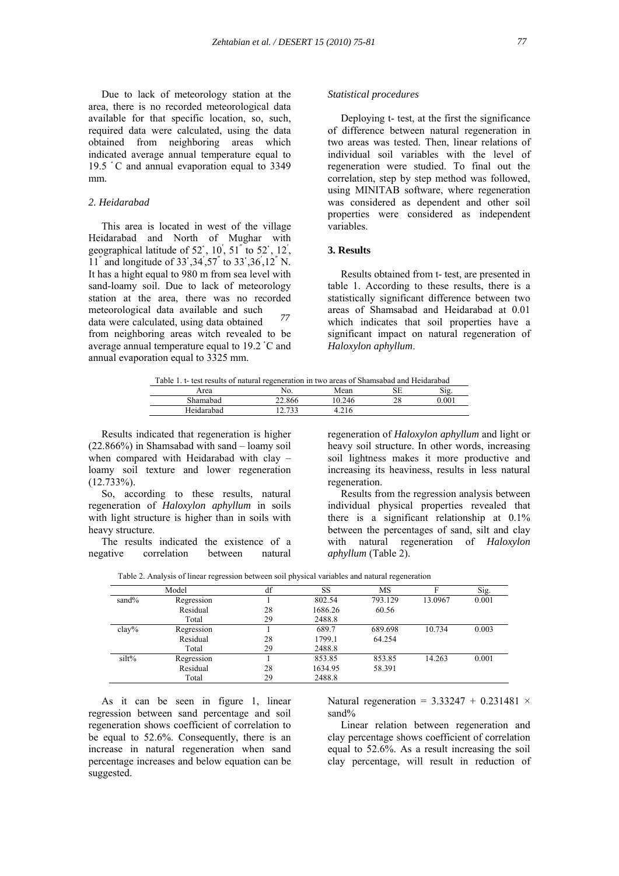Due to lack of meteorology station at the area, there is no recorded meteorological data available for that specific location, so, such, required data were calculated, using the data obtained from neighboring areas which indicated average annual temperature equal to 19.5 ْ C and annual evaporation equal to 3349 mm.

## *2. Heidarabad*

 This area is located in west of the village Heidarabad and North of Mughar with geographical latitude of  $52^\circ$ ,  $10^\prime$ ,  $51^{''}$  to  $52^{\circ}$ ,  $12^\prime$ , 11″ and longitude of 33ْ ,34′ ,57″ to 33ْ ,36′ ,12″ N. It has a hight equal to 980 m from sea level with sand-loamy soil. Due to lack of meteorology station at the area, there was no recorded meteorological data available and such data were calculated, using data obtained from neighboring areas witch revealed to be average annual temperature equal to 19.2 °C and annual evaporation equal to 3325 mm. *77* 

#### *Statistical procedures*

 Deploying t- test, at the first the significance of difference between natural regeneration in two areas was tested. Then, linear relations of individual soil variables with the level of regeneration were studied. To final out the correlation, step by step method was followed, using MINITAB software, where regeneration was considered as dependent and other soil properties were considered as independent variables.

### **3. Results**

 Results obtained from t- test, are presented in table 1. According to these results, there is a statistically significant difference between two areas of Shamsabad and Heidarabad at 0.01 which indicates that soil properties have a significant impact on natural regeneration of *Haloxylon aphyllum*.

| Table 1. t- test results of natural regeneration in two areas of Shamsabad and Heidarabad |  |  |
|-------------------------------------------------------------------------------------------|--|--|
|                                                                                           |  |  |

| Area       | 190.             | Mean    | SЕ       | $\sim$ .<br>- 12 |
|------------|------------------|---------|----------|------------------|
| Shamabad   | 22.866<br>$\sim$ | 0.246   | no<br>20 | 0.001            |
| Heidarahad | 722<br>$\sim$    | 7.4 I V |          |                  |

 Results indicated that regeneration is higher (22.866%) in Shamsabad with sand – loamy soil when compared with Heidarabad with clay – loamy soil texture and lower regeneration  $(12.733\%)$ .

 So, according to these results, natural regeneration of *Haloxylon aphyllum* in soils with light structure is higher than in soils with heavy structure.

 The results indicated the existence of a negative correlation between natural

regeneration of *Haloxylon aphyllum* and light or heavy soil structure. In other words, increasing soil lightness makes it more productive and increasing its heaviness, results in less natural regeneration.

 Results from the regression analysis between individual physical properties revealed that there is a significant relationship at 0.1% between the percentages of sand, silt and clay with natural regeneration of *Haloxylon aphyllum* (Table 2).

Table 2. Analysis of linear regression between soil physical variables and natural regeneration

|          | Model      | df | SS      | MS      |         | Sig.  |
|----------|------------|----|---------|---------|---------|-------|
| sand $%$ | Regression |    | 802.54  | 793.129 | 13.0967 | 0.001 |
|          | Residual   | 28 | 1686.26 | 60.56   |         |       |
|          | Total      | 29 | 2488.8  |         |         |       |
| $clay\%$ | Regression |    | 689.7   | 689.698 | 10.734  | 0.003 |
|          | Residual   | 28 | 1799.1  | 64.254  |         |       |
|          | Total      | 29 | 2488.8  |         |         |       |
| silt%    | Regression |    | 853.85  | 853.85  | 14.263  | 0.001 |
|          | Residual   | 28 | 1634.95 | 58.391  |         |       |
|          | Total      | 29 | 2488.8  |         |         |       |

 As it can be seen in figure 1, linear regression between sand percentage and soil regeneration shows coefficient of correlation to be equal to 52.6%. Consequently, there is an increase in natural regeneration when sand percentage increases and below equation can be suggested.

Natural regeneration =  $3.33247 + 0.231481 \times$ sand%

 Linear relation between regeneration and clay percentage shows coefficient of correlation equal to 52.6%. As a result increasing the soil clay percentage, will result in reduction of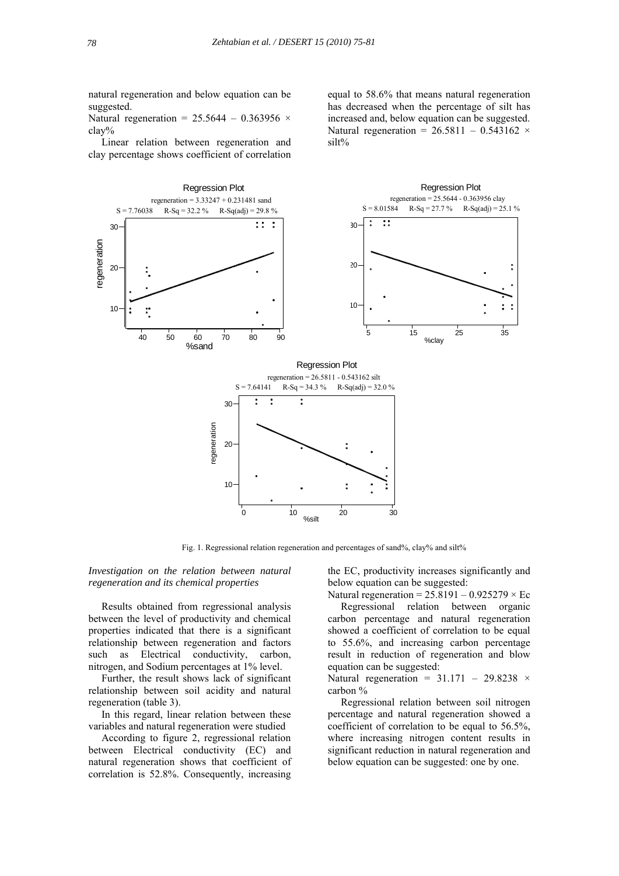silt%

natural regeneration and below equation can be suggested.

Natural regeneration =  $25.5644 - 0.363956$  × clay%

 Linear relation between regeneration and clay percentage shows coefficient of correlation



Fig. 1. Regressional relation regeneration and percentages of sand%, clay% and silt%

*Investigation on the relation between natural regeneration and its chemical properties* 

 Results obtained from regressional analysis between the level of productivity and chemical properties indicated that there is a significant relationship between regeneration and factors such as Electrical conductivity, carbon, nitrogen, and Sodium percentages at 1% level.

 Further, the result shows lack of significant relationship between soil acidity and natural regeneration (table 3).

 In this regard, linear relation between these variables and natural regeneration were studied

 According to figure 2, regressional relation between Electrical conductivity (EC) and natural regeneration shows that coefficient of correlation is 52.8%. Consequently, increasing the EC, productivity increases significantly and below equation can be suggested:

equal to 58.6% that means natural regeneration has decreased when the percentage of silt has increased and, below equation can be suggested. Natural regeneration =  $26.5811 - 0.543162$  ×

Natural regeneration =  $25.8191 - 0.925279 \times Ec$ 

 Regressional relation between organic carbon percentage and natural regeneration showed a coefficient of correlation to be equal to 55.6%, and increasing carbon percentage result in reduction of regeneration and blow equation can be suggested:

Natural regeneration =  $31.171 - 29.8238$  × carbon %

 Regressional relation between soil nitrogen percentage and natural regeneration showed a coefficient of correlation to be equal to 56.5%, where increasing nitrogen content results in significant reduction in natural regeneration and below equation can be suggested: one by one.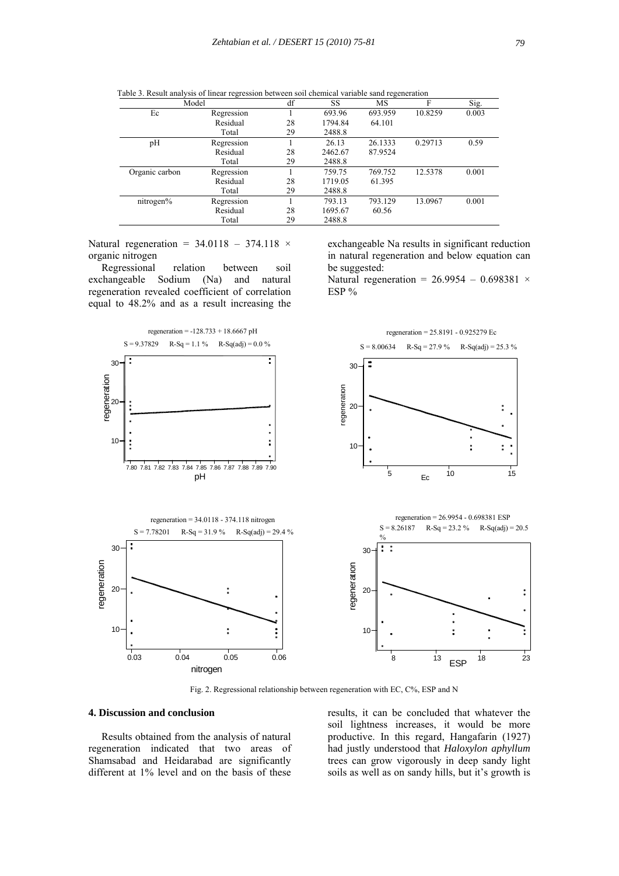|                | Model      | df | SS      | MS      | F       | Sig.  |
|----------------|------------|----|---------|---------|---------|-------|
| Ec             | Regression |    | 693.96  | 693.959 | 10.8259 | 0.003 |
|                | Residual   | 28 | 1794.84 | 64.101  |         |       |
|                | Total      | 29 | 2488.8  |         |         |       |
| pH             | Regression |    | 26.13   | 26.1333 | 0.29713 | 0.59  |
|                | Residual   | 28 | 2462.67 | 87.9524 |         |       |
|                | Total      | 29 | 2488.8  |         |         |       |
| Organic carbon | Regression |    | 759.75  | 769.752 | 12.5378 | 0.001 |
|                | Residual   | 28 | 1719.05 | 61.395  |         |       |
|                | Total      | 29 | 2488.8  |         |         |       |
| nitrogen%      | Regression |    | 793.13  | 793.129 | 13.0967 | 0.001 |
|                | Residual   | 28 | 1695.67 | 60.56   |         |       |
|                | Total      | 29 | 2488.8  |         |         |       |

Table 3. Result analysis of linear regression between soil chemical variable sand regeneration

Natural regeneration =  $34.0118 - 374.118 \times$ organic nitrogen

 Regressional relation between soil exchangeable Sodium (Na) and natural regeneration revealed coefficient of correlation equal to 48.2% and as a result increasing the

exchangeable Na results in significant reduction in natural regeneration and below equation can be suggested:

Natural regeneration =  $26.9954 - 0.698381 \times$ ESP %



Fig. 2. Regressional relationship between regeneration with EC, C%, ESP and N

## **4. Discussion and conclusion**

 Results obtained from the analysis of natural regeneration indicated that two areas of Shamsabad and Heidarabad are significantly different at 1% level and on the basis of these

results, it can be concluded that whatever the soil lightness increases, it would be more productive. In this regard, Hangafarin (1927) had justly understood that *Haloxylon aphyllum* trees can grow vigorously in deep sandy light soils as well as on sandy hills, but it's growth is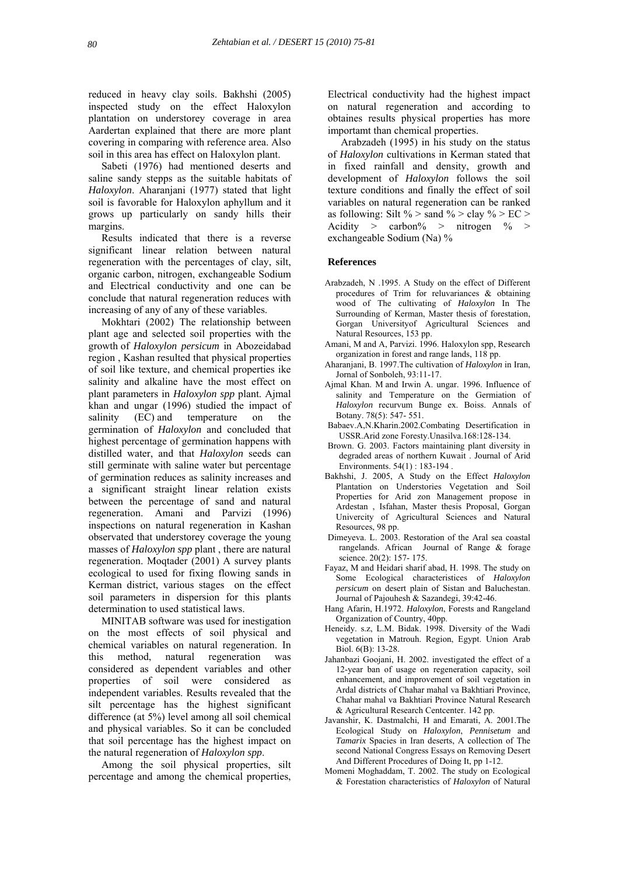reduced in heavy clay soils. Bakhshi (2005) inspected study on the effect Haloxylon plantation on understorey coverage in area Aardertan explained that there are more plant covering in comparing with reference area. Also soil in this area has effect on Haloxylon plant.

 Sabeti (1976) had mentioned deserts and saline sandy stepps as the suitable habitats of *Haloxylon*. Aharanjani (1977) stated that light soil is favorable for Haloxylon aphyllum and it grows up particularly on sandy hills their margins.

 Results indicated that there is a reverse significant linear relation between natural regeneration with the percentages of clay, silt, organic carbon, nitrogen, exchangeable Sodium and Electrical conductivity and one can be conclude that natural regeneration reduces with increasing of any of any of these variables.

 Mokhtari (2002) The relationship between plant age and selected soil properties with the growth of *Haloxylon persicum* in Abozeidabad region , Kashan resulted that physical properties of soil like texture, and chemical properties ike salinity and alkaline have the most effect on plant parameters in *Haloxylon spp* plant. Ajmal khan and ungar (1996) studied the impact of salinity (EC) and temperature on the germination of *Haloxylon* and concluded that highest percentage of germination happens with distilled water, and that *Haloxylon* seeds can still germinate with saline water but percentage of germination reduces as salinity increases and a significant straight linear relation exists between the percentage of sand and natural regeneration. Amani and Parvizi (1996) inspections on natural regeneration in Kashan observated that understorey coverage the young masses of *Haloxylon spp* plant , there are natural regeneration. Moqtader (2001) A survey plants ecological to used for fixing flowing sands in Kerman district, various stages on the effect soil parameters in dispersion for this plants determination to used statistical laws.

 MINITAB software was used for inestigation on the most effects of soil physical and chemical variables on natural regeneration. In this method, natural regeneration was considered as dependent variables and other properties of soil were considered as independent variables. Results revealed that the silt percentage has the highest significant difference (at 5%) level among all soil chemical and physical variables. So it can be concluded that soil percentage has the highest impact on the natural regeneration of *Haloxylon spp*.

 Among the soil physical properties, silt percentage and among the chemical properties,

Electrical conductivity had the highest impact on natural regeneration and according to obtaines results physical properties has more importamt than chemical properties.

 Arabzadeh (1995) in his study on the status of *Haloxylon* cultivations in Kerman stated that in fixed rainfall and density, growth and development of *Haloxylon* follows the soil texture conditions and finally the effect of soil variables on natural regeneration can be ranked as following: Silt % > sand % > clay % > EC > Acidity  $\geq$  carbon%  $\geq$  nitrogen %  $\geq$ exchangeable Sodium (Na) %

#### **References**

- Arabzadeh, N .1995. A Study on the effect of Different procedures of Trim for reluvariances & obtaining wood of The cultivating of *Haloxylon* In The Surrounding of Kerman, Master thesis of forestation, Gorgan Universityof Agricultural Sciences and Natural Resources, 153 pp.
- Amani, M and A, Parvizi. 1996. Haloxylon spp, Research organization in forest and range lands, 118 pp.
- Aharanjani, B. 1997.The cultivation of *Haloxylon* in Iran, Jornal of Sonboleh, 93:11-17.
- Ajmal Khan. M and Irwin A. ungar. 1996. Influence of salinity and Temperature on the Germiation of *Haloxylon* recurvum Bunge ex. Boiss. Annals of Botany. 78(5): 547- 551.
- Babaev.A,N.Kharin.2002.Combating Desertification in USSR.Arid zone Foresty.Unasilva.168:128-134.
- Brown. G. 2003. Factors maintaining plant diversity in degraded areas of northern Kuwait . Journal of Arid Environments. 54(1) : 183-194 .
- Bakhshi, J. 2005, A Study on the Effect *Haloxylon* Plantation on Understories Vegetation and Soil Properties for Arid zon Management propose in Ardestan , Isfahan, Master thesis Proposal, Gorgan Univercity of Agricultural Sciences and Natural Resources, 98 pp.
- Dimeyeva. L. 2003. Restoration of the Aral sea coastal rangelands. African Journal of Range & forage science. 20(2): 157- 175.
- Fayaz, M and Heidari sharif abad, H. 1998. The study on Some Ecological characteristices of *Haloxylon persicum* on desert plain of Sistan and Baluchestan. Journal of Pajouhesh & Sazandegi, 39:42-46.
- Hang Afarin, H.1972. *Haloxylon*, Forests and Rangeland Organization of Country, 40pp.
- Heneidy. s.z, L.M. Bidak. 1998. Diversity of the Wadi vegetation in Matrouh. Region, Egypt. Union Arab Biol. 6(B): 13-28.
- Jahanbazi Goojani, H. 2002. investigated the effect of a 12-year ban of usage on regeneration capacity, soil enhancement, and improvement of soil vegetation in Ardal districts of Chahar mahal va Bakhtiari Province, Chahar mahal va Bakhtiari Province Natural Research & Agricultural Research Centcenter. 142 pp.
- Javanshir, K. Dastmalchi, H and Emarati, A. 2001.The Ecological Study on *Haloxylon*, *Pennisetum* and *Tamarix* Spacies in Iran deserts, A collection of The second National Congress Essays on Removing Desert And Different Procedures of Doing It, pp 1-12.
- Momeni Moghaddam, T. 2002. The study on Ecological & Forestation characteristics of *Haloxylon* of Natural